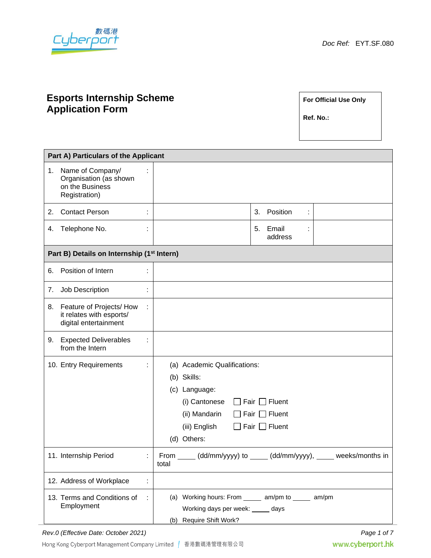

# **Esports Internship Scheme Application Form**

**For Official Use Only**

**Ref. No.:**

| Part A) Particulars of the Applicant                   |                                                                                |   |                                                                                                                                                                                                  |  |  |  |  |
|--------------------------------------------------------|--------------------------------------------------------------------------------|---|--------------------------------------------------------------------------------------------------------------------------------------------------------------------------------------------------|--|--|--|--|
| 1.                                                     | Name of Company/<br>Organisation (as shown<br>on the Business<br>Registration) |   |                                                                                                                                                                                                  |  |  |  |  |
| 2.                                                     | <b>Contact Person</b>                                                          |   | Position<br>3.<br>÷                                                                                                                                                                              |  |  |  |  |
| 4.                                                     | Telephone No.                                                                  |   | 5.<br>Email<br>address                                                                                                                                                                           |  |  |  |  |
| Part B) Details on Internship (1 <sup>st</sup> Intern) |                                                                                |   |                                                                                                                                                                                                  |  |  |  |  |
| 6.                                                     | Position of Intern                                                             | ÷ |                                                                                                                                                                                                  |  |  |  |  |
| 7.                                                     | Job Description                                                                | ÷ |                                                                                                                                                                                                  |  |  |  |  |
| 8.                                                     | Feature of Projects/ How<br>it relates with esports/<br>digital entertainment  | ÷ |                                                                                                                                                                                                  |  |  |  |  |
| 9.                                                     | <b>Expected Deliverables</b><br>from the Intern                                | t |                                                                                                                                                                                                  |  |  |  |  |
|                                                        | 10. Entry Requirements                                                         |   | (a) Academic Qualifications:<br>(b) Skills:<br>(c) Language:<br>Fair $\Box$ Fluent<br>(i) Cantonese<br>(ii) Mandarin<br>Fair $\Box$ Fluent<br>Fair $\Box$ Fluent<br>(iii) English<br>(d) Others: |  |  |  |  |
|                                                        | 11. Internship Period                                                          |   | From _____ (dd/mm/yyyy) to _____ (dd/mm/yyyy), _____ weeks/months in<br>total                                                                                                                    |  |  |  |  |
|                                                        | 12. Address of Workplace                                                       | ÷ |                                                                                                                                                                                                  |  |  |  |  |
|                                                        | 13. Terms and Conditions of<br>Employment                                      | ÷ | (a) Working hours: From ______ am/pm to ______ am/pm<br>Working days per week: _____ days<br>(b) Require Shift Work?                                                                             |  |  |  |  |

*Rev.0 (Effective Date: October 2021) Page 1 of 7*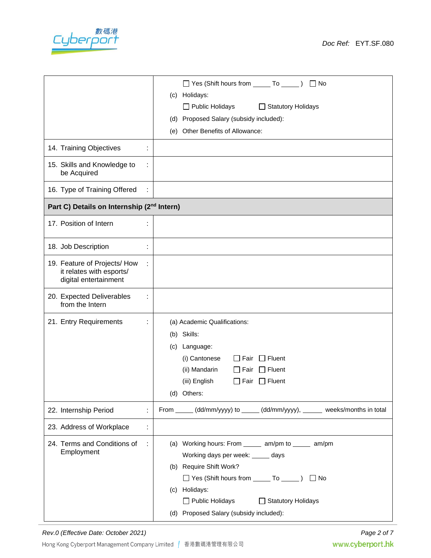

|                                                                                   | □ Yes (Shift hours from _______ To ______ ) □ No<br>(c) Holidays:<br>Public Holidays<br>$\Box$ Statutory Holidays<br>(d) Proposed Salary (subsidy included):<br>(e) Other Benefits of Allowance:                                                                                                    |  |  |
|-----------------------------------------------------------------------------------|-----------------------------------------------------------------------------------------------------------------------------------------------------------------------------------------------------------------------------------------------------------------------------------------------------|--|--|
| 14. Training Objectives                                                           |                                                                                                                                                                                                                                                                                                     |  |  |
| 15. Skills and Knowledge to<br>t<br>be Acquired                                   |                                                                                                                                                                                                                                                                                                     |  |  |
| 16. Type of Training Offered<br>÷                                                 |                                                                                                                                                                                                                                                                                                     |  |  |
| Part C) Details on Internship (2 <sup>nd</sup> Intern)                            |                                                                                                                                                                                                                                                                                                     |  |  |
| 17. Position of Intern<br>t                                                       |                                                                                                                                                                                                                                                                                                     |  |  |
| 18. Job Description<br>÷,                                                         |                                                                                                                                                                                                                                                                                                     |  |  |
| 19. Feature of Projects/ How<br>it relates with esports/<br>digital entertainment |                                                                                                                                                                                                                                                                                                     |  |  |
| 20. Expected Deliverables<br>÷<br>from the Intern                                 |                                                                                                                                                                                                                                                                                                     |  |  |
| 21. Entry Requirements                                                            | (a) Academic Qualifications:<br>(b) Skills:<br>(c) Language:<br>$\Box$ Fluent<br>(i) Cantonese<br>Fair<br>$\Box$ Fluent<br>(ii) Mandarin<br>Fair<br>$\Box$ Fair $\Box$ Fluent<br>(iii) English<br>(d) Others:                                                                                       |  |  |
| 22. Internship Period<br>÷                                                        | From _____ (dd/mm/yyyy) to _____ (dd/mm/yyyy), _____ weeks/months in total                                                                                                                                                                                                                          |  |  |
| 23. Address of Workplace<br>t                                                     |                                                                                                                                                                                                                                                                                                     |  |  |
| 24. Terms and Conditions of<br>÷<br>Employment                                    | (a) Working hours: From ______ am/pm to ______ am/pm<br>Working days per week: _____ days<br>(b) Require Shift Work?<br>□ Yes (Shift hours from <u>_____</u> To ______ )<br>$\Box$ No<br>(c) Holidays:<br>□ Statutory Holidays<br>$\Box$ Public Holidays<br>(d) Proposed Salary (subsidy included): |  |  |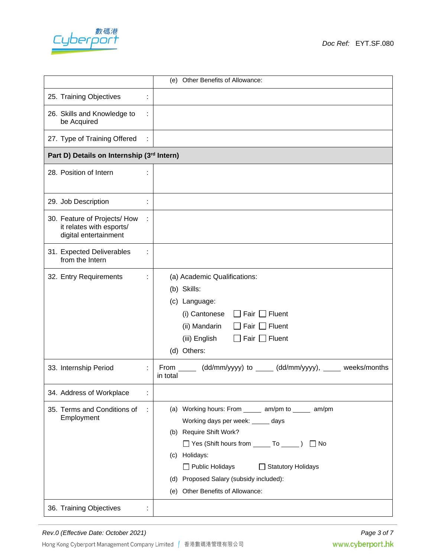

| (e) Other Benefits of Allowance:                                                  |   |                                                                                                                                                                                                                                                                                                                                  |  |  |
|-----------------------------------------------------------------------------------|---|----------------------------------------------------------------------------------------------------------------------------------------------------------------------------------------------------------------------------------------------------------------------------------------------------------------------------------|--|--|
| 25. Training Objectives                                                           |   |                                                                                                                                                                                                                                                                                                                                  |  |  |
| 26. Skills and Knowledge to<br>be Acquired                                        | ÷ |                                                                                                                                                                                                                                                                                                                                  |  |  |
| 27. Type of Training Offered                                                      |   |                                                                                                                                                                                                                                                                                                                                  |  |  |
| Part D) Details on Internship (3rd Intern)                                        |   |                                                                                                                                                                                                                                                                                                                                  |  |  |
| 28. Position of Intern                                                            |   |                                                                                                                                                                                                                                                                                                                                  |  |  |
| 29. Job Description                                                               | ÷ |                                                                                                                                                                                                                                                                                                                                  |  |  |
| 30. Feature of Projects/ How<br>it relates with esports/<br>digital entertainment | ÷ |                                                                                                                                                                                                                                                                                                                                  |  |  |
| 31. Expected Deliverables<br>from the Intern                                      |   |                                                                                                                                                                                                                                                                                                                                  |  |  |
| 32. Entry Requirements                                                            | ÷ | (a) Academic Qualifications:<br>(b) Skills:<br>(c) Language:<br>Fair $\Box$ Fluent<br>(i) Cantonese<br>(ii) Mandarin<br>$\Box$ Fluent<br>Fair  <br>(iii) English<br>$\Box$ Fair $\Box$ Fluent<br>(d) Others:                                                                                                                     |  |  |
| 33. Internship Period                                                             | ÷ | From _____ (dd/mm/yyyy) to _____ (dd/mm/yyyy), _____ weeks/months<br>in total                                                                                                                                                                                                                                                    |  |  |
| 34. Address of Workplace                                                          | ÷ |                                                                                                                                                                                                                                                                                                                                  |  |  |
| 35. Terms and Conditions of<br>Employment                                         | ÷ | (a) Working hours: From _______ am/pm to ______ am/pm<br>Working days per week: _____ days<br>(b) Require Shift Work?<br>□ Yes (Shift hours from <u>To UIT</u> )<br>$\Box$ No<br>Holidays:<br>(c)<br>$\Box$ Public Holidays<br>Statutory Holidays<br>(d) Proposed Salary (subsidy included):<br>(e) Other Benefits of Allowance: |  |  |
| 36. Training Objectives                                                           | ÷ |                                                                                                                                                                                                                                                                                                                                  |  |  |

*Rev.0 (Effective Date: October 2021) Page 3 of 7*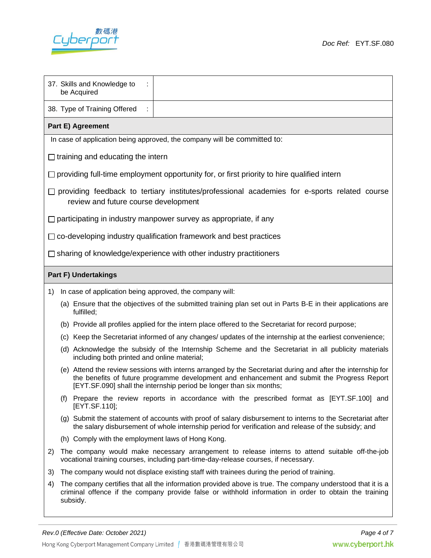

|                                                                                                                                             | 37. Skills and Knowledge to<br>be Acquired                                                                                                                                                                                                                                        |  |  |  |  |
|---------------------------------------------------------------------------------------------------------------------------------------------|-----------------------------------------------------------------------------------------------------------------------------------------------------------------------------------------------------------------------------------------------------------------------------------|--|--|--|--|
|                                                                                                                                             | 38. Type of Training Offered                                                                                                                                                                                                                                                      |  |  |  |  |
| Part E) Agreement                                                                                                                           |                                                                                                                                                                                                                                                                                   |  |  |  |  |
| In case of application being approved, the company will be committed to:                                                                    |                                                                                                                                                                                                                                                                                   |  |  |  |  |
| $\Box$ training and educating the intern                                                                                                    |                                                                                                                                                                                                                                                                                   |  |  |  |  |
|                                                                                                                                             | $\Box$ providing full-time employment opportunity for, or first priority to hire qualified intern                                                                                                                                                                                 |  |  |  |  |
| $\Box$ providing feedback to tertiary institutes/professional academies for e-sports related course<br>review and future course development |                                                                                                                                                                                                                                                                                   |  |  |  |  |
|                                                                                                                                             | $\Box$ participating in industry manpower survey as appropriate, if any                                                                                                                                                                                                           |  |  |  |  |
|                                                                                                                                             | $\Box$ co-developing industry qualification framework and best practices                                                                                                                                                                                                          |  |  |  |  |
|                                                                                                                                             | $\Box$ sharing of knowledge/experience with other industry practitioners                                                                                                                                                                                                          |  |  |  |  |
| <b>Part F) Undertakings</b>                                                                                                                 |                                                                                                                                                                                                                                                                                   |  |  |  |  |
| 1)                                                                                                                                          | In case of application being approved, the company will:                                                                                                                                                                                                                          |  |  |  |  |
|                                                                                                                                             | (a) Ensure that the objectives of the submitted training plan set out in Parts B-E in their applications are<br>fulfilled;                                                                                                                                                        |  |  |  |  |
|                                                                                                                                             | (b) Provide all profiles applied for the intern place offered to the Secretariat for record purpose;                                                                                                                                                                              |  |  |  |  |
|                                                                                                                                             | (c) Keep the Secretariat informed of any changes/ updates of the internship at the earliest convenience;                                                                                                                                                                          |  |  |  |  |
|                                                                                                                                             | (d) Acknowledge the subsidy of the Internship Scheme and the Secretariat in all publicity materials<br>including both printed and online material;                                                                                                                                |  |  |  |  |
|                                                                                                                                             | (e) Attend the review sessions with interns arranged by the Secretariat during and after the internship for<br>the benefits of future programme development and enhancement and submit the Progress Report<br>[EYT.SF.090] shall the internship period be longer than six months; |  |  |  |  |
|                                                                                                                                             | (f) Prepare the review reports in accordance with the prescribed format as [EYT.SF.100] and<br>[EYT.SF.110];                                                                                                                                                                      |  |  |  |  |
|                                                                                                                                             | (g) Submit the statement of accounts with proof of salary disbursement to interns to the Secretariat after<br>the salary disbursement of whole internship period for verification and release of the subsidy; and                                                                 |  |  |  |  |
|                                                                                                                                             | (h) Comply with the employment laws of Hong Kong.                                                                                                                                                                                                                                 |  |  |  |  |
| 2)                                                                                                                                          | The company would make necessary arrangement to release interns to attend suitable off-the-job<br>vocational training courses, including part-time-day-release courses, if necessary.                                                                                             |  |  |  |  |
| 3)                                                                                                                                          | The company would not displace existing staff with trainees during the period of training.                                                                                                                                                                                        |  |  |  |  |
| 4)                                                                                                                                          | The company certifies that all the information provided above is true. The company understood that it is a<br>criminal offence if the company provide false or withhold information in order to obtain the training<br>subsidy.                                                   |  |  |  |  |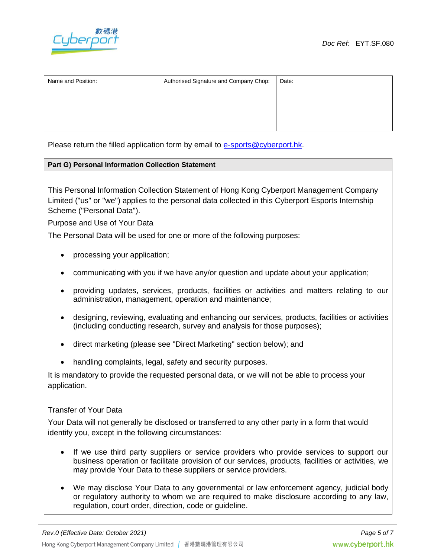

| Name and Position: | Authorised Signature and Company Chop: | Date: |
|--------------------|----------------------------------------|-------|
|                    |                                        |       |

Please return the filled application form by email to [e-sports@cyberport.hk.](mailto:e-sports@cyberport.hk)

### **Part G) Personal Information Collection Statement**

This Personal Information Collection Statement of Hong Kong Cyberport Management Company Limited ("us" or "we") applies to the personal data collected in this Cyberport Esports Internship Scheme ("Personal Data").

Purpose and Use of Your Data

The Personal Data will be used for one or more of the following purposes:

- processing your application;
- communicating with you if we have any/or question and update about your application;
- providing updates, services, products, facilities or activities and matters relating to our administration, management, operation and maintenance;
- designing, reviewing, evaluating and enhancing our services, products, facilities or activities (including conducting research, survey and analysis for those purposes);
- direct marketing (please see "Direct Marketing" section below); and
- handling complaints, legal, safety and security purposes.

It is mandatory to provide the requested personal data, or we will not be able to process your application.

#### Transfer of Your Data

Your Data will not generally be disclosed or transferred to any other party in a form that would identify you, except in the following circumstances:

- If we use third party suppliers or service providers who provide services to support our business operation or facilitate provision of our services, products, facilities or activities, we may provide Your Data to these suppliers or service providers.
- We may disclose Your Data to any governmental or law enforcement agency, judicial body or regulatory authority to whom we are required to make disclosure according to any law, regulation, court order, direction, code or guideline.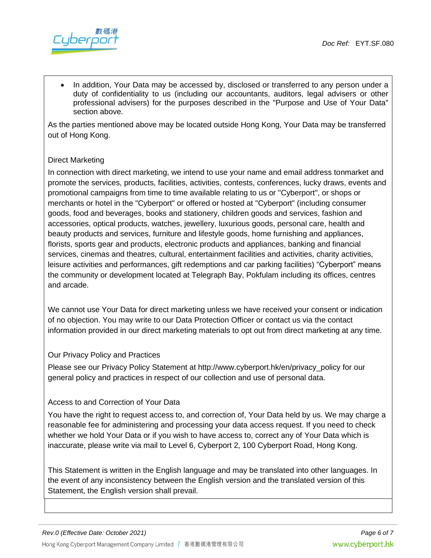

• In addition, Your Data may be accessed by, disclosed or transferred to any person under a duty of confidentiality to us (including our accountants, auditors, legal advisers or other professional advisers) for the purposes described in the "Purpose and Use of Your Data" section above.

As the parties mentioned above may be located outside Hong Kong, Your Data may be transferred out of Hong Kong.

# Direct Marketing

In connection with direct marketing, we intend to use your name and email address tonmarket and promote the services, products, facilities, activities, contests, conferences, lucky draws, events and promotional campaigns from time to time available relating to us or "Cyberport", or shops or merchants or hotel in the "Cyberport" or offered or hosted at "Cyberport" (including consumer goods, food and beverages, books and stationery, children goods and services, fashion and accessories, optical products, watches, jewellery, luxurious goods, personal care, health and beauty products and services, furniture and lifestyle goods, home furnishing and appliances, florists, sports gear and products, electronic products and appliances, banking and financial services, cinemas and theatres, cultural, entertainment facilities and activities, charity activities, leisure activities and performances, gift redemptions and car parking facilities) "Cyberport" means the community or development located at Telegraph Bay, Pokfulam including its offices, centres and arcade.

We cannot use Your Data for direct marketing unless we have received your consent or indication of no objection. You may write to our Data Protection Officer or contact us via the contact information provided in our direct marketing materials to opt out from direct marketing at any time.

### Our Privacy Policy and Practices

Please see our Privacy Policy Statement at http://www.cyberport.hk/en/privacy\_policy for our general policy and practices in respect of our collection and use of personal data.

## Access to and Correction of Your Data

You have the right to request access to, and correction of, Your Data held by us. We may charge a reasonable fee for administering and processing your data access request. If you need to check whether we hold Your Data or if you wish to have access to, correct any of Your Data which is inaccurate, please write via mail to Level 6, Cyberport 2, 100 Cyberport Road, Hong Kong.

This Statement is written in the English language and may be translated into other languages. In the event of any inconsistency between the English version and the translated version of this Statement, the English version shall prevail.